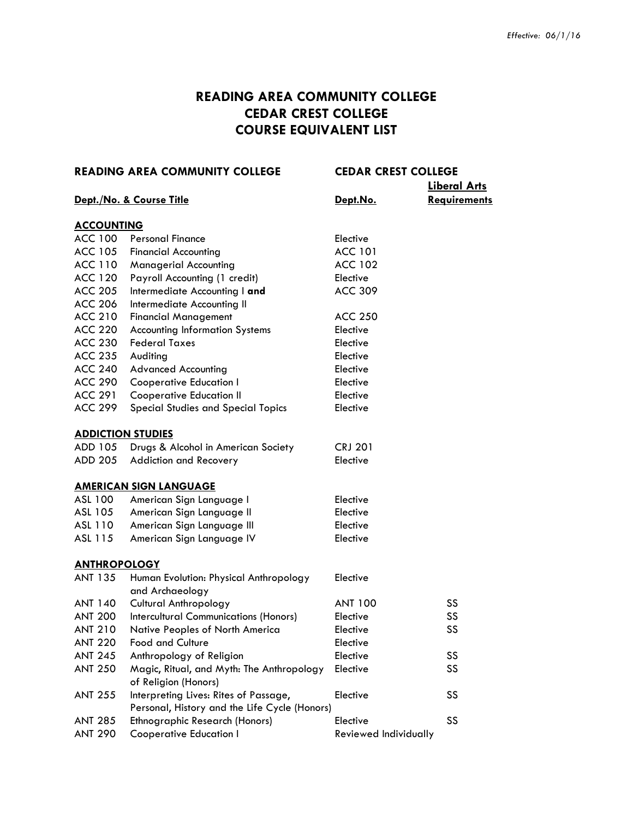# **READING AREA COMMUNITY COLLEGE CEDAR CREST COLLEGE COURSE EQUIVALENT LIST**

| <b>READING AREA COMMUNITY COLLEGE</b> |                                                           | <b>CEDAR CREST COLLEGE</b> |                     |
|---------------------------------------|-----------------------------------------------------------|----------------------------|---------------------|
|                                       |                                                           |                            | <b>Liberal Arts</b> |
|                                       | Dept./No. & Course Title                                  | Dept.No.                   | <b>Requirements</b> |
| <b>ACCOUNTING</b>                     |                                                           |                            |                     |
| ACC 100                               | <b>Personal Finance</b>                                   | Elective                   |                     |
| <b>ACC 105</b>                        | <b>Financial Accounting</b>                               | <b>ACC 101</b>             |                     |
| <b>ACC 110</b>                        | <b>Managerial Accounting</b>                              | <b>ACC 102</b>             |                     |
| <b>ACC 120</b>                        | Payroll Accounting (1 credit)                             | Elective                   |                     |
| <b>ACC 205</b>                        | Intermediate Accounting I and                             | <b>ACC 309</b>             |                     |
| <b>ACC 206</b>                        | Intermediate Accounting II                                |                            |                     |
| <b>ACC 210</b>                        | <b>Financial Management</b>                               | <b>ACC 250</b>             |                     |
| <b>ACC 220</b>                        | <b>Accounting Information Systems</b>                     | Elective                   |                     |
| <b>ACC 230</b>                        | <b>Federal Taxes</b>                                      | Elective                   |                     |
| <b>ACC 235</b>                        | Auditing                                                  | Elective                   |                     |
| <b>ACC 240</b>                        | <b>Advanced Accounting</b>                                | Elective                   |                     |
| <b>ACC 290</b>                        | <b>Cooperative Education I</b>                            | Elective                   |                     |
| <b>ACC 291</b>                        | <b>Cooperative Education II</b>                           | Elective                   |                     |
| <b>ACC 299</b>                        | Special Studies and Special Topics                        | Elective                   |                     |
| <b>ADDICTION STUDIES</b>              |                                                           |                            |                     |
| ADD 105                               | Drugs & Alcohol in American Society                       | <b>CRJ 201</b>             |                     |
| ADD 205                               | Addiction and Recovery                                    | Elective                   |                     |
|                                       | <b>AMERICAN SIGN LANGUAGE</b>                             |                            |                     |
| ASL 100                               | American Sign Language I                                  | Elective                   |                     |
| ASL 105                               | American Sign Language II                                 | Elective                   |                     |
| ASL 110                               | American Sign Language III                                | Elective                   |                     |
| ASL 115                               | American Sign Language IV                                 | Elective                   |                     |
| <b>ANTHROPOLOGY</b>                   |                                                           |                            |                     |
| <b>ANT 135</b>                        | Human Evolution: Physical Anthropology<br>and Archaeology | Elective                   |                     |
| <b>ANT 140</b>                        | <b>Cultural Anthropology</b>                              | <b>ANT 100</b>             | SS                  |
| <b>ANT 200</b>                        | <b>Intercultural Communications (Honors)</b>              | Elective                   | SS                  |
| <b>ANT 210</b>                        | Native Peoples of North America                           | Elective                   | SS                  |
| <b>ANT 220</b>                        | <b>Food and Culture</b>                                   | Elective                   |                     |
| <b>ANT 245</b>                        | Anthropology of Religion                                  | Elective                   | SS                  |
| <b>ANT 250</b>                        | Magic, Ritual, and Myth: The Anthropology                 | Elective                   | SS                  |
|                                       | of Religion (Honors)                                      |                            |                     |
| <b>ANT 255</b>                        | Interpreting Lives: Rites of Passage,                     | Elective                   | SS                  |
|                                       | Personal, History and the Life Cycle (Honors)             |                            |                     |
| <b>ANT 285</b>                        | <b>Ethnographic Research (Honors)</b>                     | Elective                   | SS                  |
| <b>ANT 290</b>                        | <b>Cooperative Education I</b>                            | Reviewed Individually      |                     |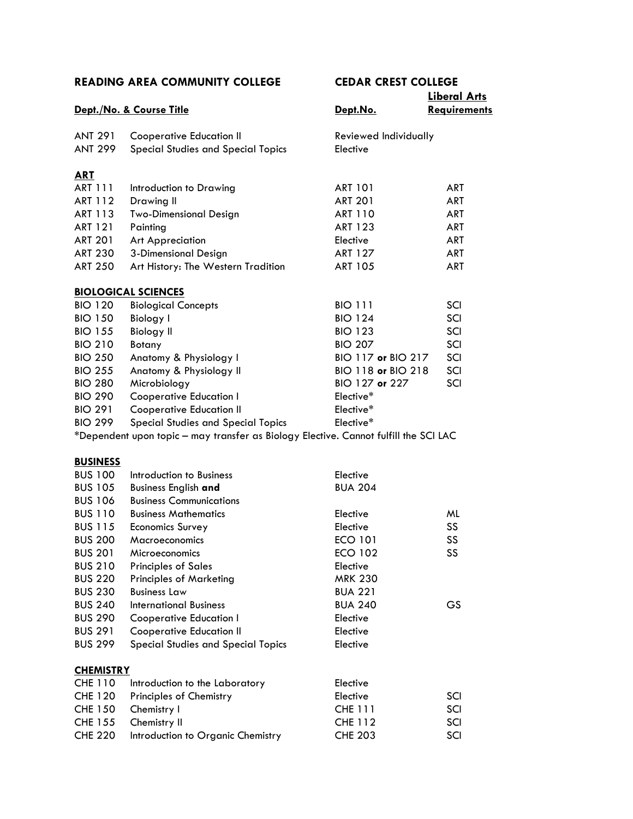|                |                                                                                      |                       | <b>Liberal Arts</b> |
|----------------|--------------------------------------------------------------------------------------|-----------------------|---------------------|
|                | Dept./No. & Course Title                                                             | Dept.No.              | <b>Requirements</b> |
| <b>ANT 291</b> | <b>Cooperative Education II</b>                                                      | Reviewed Individually |                     |
| ANT 299        | Special Studies and Special Topics                                                   | Elective              |                     |
| <b>ART</b>     |                                                                                      |                       |                     |
| <b>ART 111</b> | Introduction to Drawing                                                              | <b>ART 101</b>        | ART                 |
| ART 112        | Drawing II                                                                           | <b>ART 201</b>        | ART                 |
| ART 113        | <b>Two-Dimensional Design</b>                                                        | <b>ART 110</b>        | ART                 |
| <b>ART 121</b> | Painting                                                                             | <b>ART 123</b>        | ART                 |
| <b>ART 201</b> | Art Appreciation                                                                     | Elective              | <b>ART</b>          |
| <b>ART 230</b> | 3-Dimensional Design                                                                 | <b>ART 127</b>        | <b>ART</b>          |
| <b>ART 250</b> | Art History: The Western Tradition                                                   | <b>ART 105</b>        | <b>ART</b>          |
|                | <b>BIOLOGICAL SCIENCES</b>                                                           |                       |                     |
| <b>BIO 120</b> | <b>Biological Concepts</b>                                                           | <b>BIO 111</b>        | SCI                 |
| <b>BIO 150</b> | Biology I                                                                            | <b>BIO 124</b>        | SCI                 |
| <b>BIO 155</b> | <b>Biology II</b>                                                                    | <b>BIO 123</b>        | SCI                 |
| <b>BIO 210</b> | Botany                                                                               | <b>BIO 207</b>        | SCI                 |
| <b>BIO 250</b> | Anatomy & Physiology I                                                               | BIO 117 or BIO 217    | SCI                 |
| <b>BIO 255</b> | Anatomy & Physiology II                                                              | BIO 118 or BIO 218    | SCI                 |
| <b>BIO 280</b> | Microbiology                                                                         | BIO 127 or 227        | SCI                 |
| <b>BIO 290</b> | <b>Cooperative Education I</b>                                                       | Elective*             |                     |
| <b>BIO 291</b> | <b>Cooperative Education II</b>                                                      | Elective*             |                     |
| <b>BIO 299</b> | Special Studies and Special Topics                                                   | Elective*             |                     |
|                | *Dependent upon topic - may transfer as Biology Elective. Cannot fulfill the SCI LAC |                       |                     |

## **BUSINESS**

| <b>BUS 100</b>   | Introduction to Business           | Elective       |     |
|------------------|------------------------------------|----------------|-----|
| <b>BUS 105</b>   | <b>Business English and</b>        | <b>BUA 204</b> |     |
| <b>BUS 106</b>   | <b>Business Communications</b>     |                |     |
| <b>BUS 110</b>   | <b>Business Mathematics</b>        | Elective       | ML  |
| <b>BUS 115</b>   | <b>Economics Survey</b>            | Elective       | SS  |
| <b>BUS 200</b>   | Macroeconomics                     | <b>ECO 101</b> | SS. |
| <b>BUS 201</b>   | Microeconomics                     | <b>ECO 102</b> | SS. |
| <b>BUS 210</b>   | <b>Principles of Sales</b>         | Elective       |     |
| <b>BUS 220</b>   | <b>Principles of Marketing</b>     | <b>MRK 230</b> |     |
| <b>BUS 230</b>   | <b>Business Law</b>                | <b>BUA 221</b> |     |
| <b>BUS 240</b>   | International Business             | <b>BUA 240</b> | GS  |
| <b>BUS 290</b>   | Cooperative Education I            | Elective       |     |
| <b>BUS 291</b>   | <b>Cooperative Education II</b>    | Elective       |     |
| <b>BUS 299</b>   | Special Studies and Special Topics | Elective       |     |
| <b>CHEMISTRY</b> |                                    |                |     |
|                  |                                    |                |     |

| CHE 110 Introduction to the Laboratory    | Elective       |     |
|-------------------------------------------|----------------|-----|
| CHE 120 Principles of Chemistry           | Elective       | SCI |
| CHE 150 Chemistry I                       | <b>CHE 111</b> | SCI |
| CHE 155 Chemistry II                      | CHE 112        | SCI |
| CHE 220 Introduction to Organic Chemistry | <b>CHE 203</b> | SCI |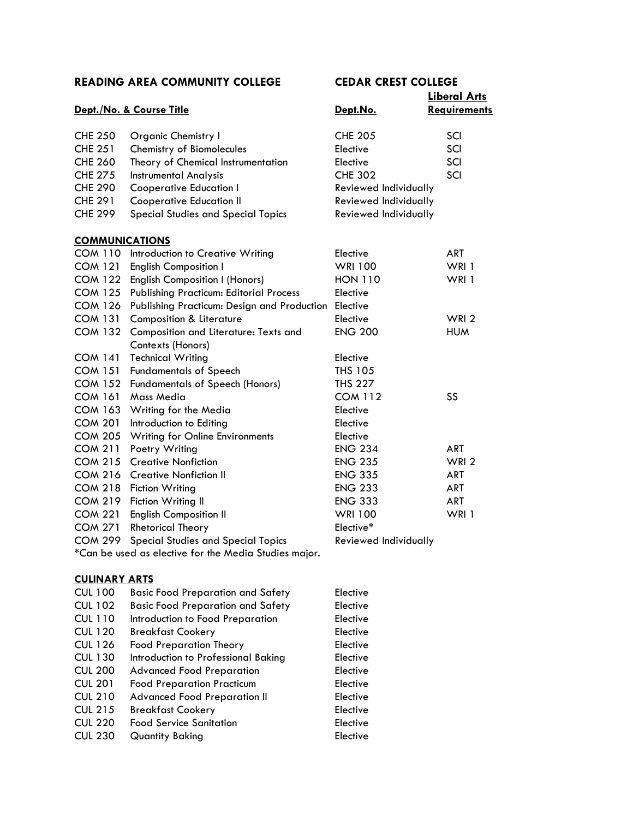|                       |                                                |                       | <b>Liberal Arts</b> |
|-----------------------|------------------------------------------------|-----------------------|---------------------|
|                       | Dept./No. & Course Title                       | Dept.No.              | <b>Requirements</b> |
| <b>CHE 250</b>        | <b>Organic Chemistry I</b>                     | <b>CHE 205</b>        | SCI                 |
| <b>CHE 251</b>        | Chemistry of Biomolecules                      | Elective              | SCI                 |
| <b>CHE 260</b>        | Theory of Chemical Instrumentation             | Elective              | SCI                 |
| <b>CHE 275</b>        | <b>Instrumental Analysis</b>                   | <b>CHE 302</b>        | SCI                 |
| <b>CHE 290</b>        | <b>Cooperative Education I</b>                 | Reviewed Individually |                     |
| <b>CHE 291</b>        | <b>Cooperative Education II</b>                | Reviewed Individually |                     |
| <b>CHE 299</b>        | <b>Special Studies and Special Topics</b>      | Reviewed Individually |                     |
| <b>COMMUNICATIONS</b> |                                                |                       |                     |
| <b>COM 110</b>        | Introduction to Creative Writing               | Elective              | <b>ART</b>          |
| <b>COM 121</b>        | <b>English Composition I</b>                   | <b>WRI 100</b>        | WRI 1               |
| <b>COM 122</b>        | <b>English Composition I (Honors)</b>          | <b>HON 110</b>        | WRI 1               |
| <b>COM 125</b>        | <b>Publishing Practicum: Editorial Process</b> | Elective              |                     |
| <b>COM 126</b>        | Publishing Practicum: Design and Production    | Elective              |                     |
| <b>COM 131</b>        | <b>Composition &amp; Literature</b>            | Elective              | WRI <sub>2</sub>    |
| <b>COM 132</b>        | Composition and Literature: Texts and          | <b>ENG 200</b>        | <b>HUM</b>          |
|                       | Contexts (Honors)                              |                       |                     |
| <b>COM 141</b>        | <b>Technical Writing</b>                       | Elective              |                     |
| <b>COM 151</b>        | <b>Fundamentals of Speech</b>                  | <b>THS 105</b>        |                     |
| <b>COM 152</b>        | <b>Fundamentals of Speech (Honors)</b>         | <b>THS 227</b>        |                     |
| <b>COM 161</b>        | Mass Media                                     | <b>COM 112</b>        | SS                  |
| <b>COM 163</b>        | Writing for the Media                          | Elective              |                     |
| <b>COM 201</b>        | Introduction to Editing                        | Elective              |                     |
| <b>COM 205</b>        | <b>Writing for Online Environments</b>         | Elective              |                     |
| <b>COM 211</b>        | Poetry Writing                                 | <b>ENG 234</b>        | <b>ART</b>          |
| <b>COM 215</b>        | <b>Creative Nonfiction</b>                     | <b>ENG 235</b>        | WRI <sub>2</sub>    |
| <b>COM 216</b>        | <b>Creative Nonfiction II</b>                  | <b>ENG 335</b>        | <b>ART</b>          |
| <b>COM 218</b>        | <b>Fiction Writing</b>                         | <b>ENG 233</b>        | <b>ART</b>          |
| <b>COM 219</b>        | Fiction Writing II                             | <b>ENG 333</b>        | <b>ART</b>          |
| <b>COM 221</b>        | <b>English Composition II</b>                  | <b>WRI 100</b>        | WRI 1               |
| <b>COM 271</b>        | <b>Rhetorical Theory</b>                       | Elective*             |                     |
| <b>COM 299</b>        | <b>Special Studies and Special Topics</b>      | Reviewed Individually |                     |

\*Can be used as elective for the Media Studies major.

## **CULINARY ARTS**

| <b>CUL 100</b> | <b>Basic Food Preparation and Safety</b> | Elective |
|----------------|------------------------------------------|----------|
| <b>CUL 102</b> | <b>Basic Food Preparation and Safety</b> | Elective |
| CUL 110        | Introduction to Food Preparation         | Elective |
| <b>CUL 120</b> | <b>Breakfast Cookery</b>                 | Elective |
| CUL 126        | <b>Food Preparation Theory</b>           | Elective |
| CUL 130        | Introduction to Professional Baking      | Elective |
| <b>CUL 200</b> | <b>Advanced Food Preparation</b>         | Elective |
| <b>CUL 201</b> | <b>Food Preparation Practicum</b>        | Elective |
| <b>CUL 210</b> | <b>Advanced Food Preparation II</b>      | Elective |
| <b>CUL 215</b> | <b>Breakfast Cookery</b>                 | Elective |
| <b>CUL 220</b> | <b>Food Service Sanitation</b>           | Elective |
| <b>CUL 230</b> | Quantity Baking                          | Elective |
|                |                                          |          |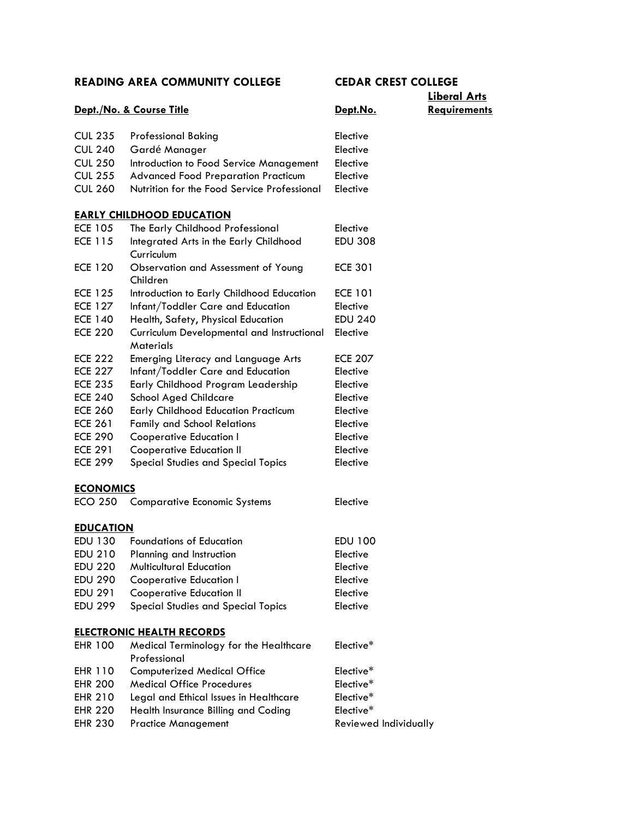|                  | Dept./No. & Course Title                                       | Dept.No.              | <b>Liberal Arts</b><br><b>Requirements</b> |
|------------------|----------------------------------------------------------------|-----------------------|--------------------------------------------|
| <b>CUL 235</b>   | <b>Professional Baking</b>                                     | Elective              |                                            |
| <b>CUL 240</b>   | Gardé Manager                                                  | Elective              |                                            |
| <b>CUL 250</b>   | Introduction to Food Service Management                        | Elective              |                                            |
| <b>CUL 255</b>   | <b>Advanced Food Preparation Practicum</b>                     | Elective              |                                            |
| <b>CUL 260</b>   | Nutrition for the Food Service Professional                    | Elective              |                                            |
|                  | <b>EARLY CHILDHOOD EDUCATION</b>                               |                       |                                            |
| <b>ECE 105</b>   | The Early Childhood Professional                               | Elective              |                                            |
| <b>ECE 115</b>   | Integrated Arts in the Early Childhood                         | <b>EDU 308</b>        |                                            |
|                  | Curriculum                                                     |                       |                                            |
| <b>ECE 120</b>   | Observation and Assessment of Young<br>Children                | <b>ECE 301</b>        |                                            |
| <b>ECE 125</b>   | Introduction to Early Childhood Education                      | <b>ECE 101</b>        |                                            |
| <b>ECE 127</b>   | Infant/Toddler Care and Education                              | Elective              |                                            |
| <b>ECE 140</b>   | Health, Safety, Physical Education                             | <b>EDU 240</b>        |                                            |
| <b>ECE 220</b>   | Curriculum Developmental and Instructional<br><b>Materials</b> | Elective              |                                            |
| <b>ECE 222</b>   | Emerging Literacy and Language Arts                            | <b>ECE 207</b>        |                                            |
| <b>ECE 227</b>   | Infant/Toddler Care and Education                              | Elective              |                                            |
| <b>ECE 235</b>   | Early Childhood Program Leadership                             | Elective              |                                            |
| <b>ECE 240</b>   | <b>School Aged Childcare</b>                                   | Elective              |                                            |
| <b>ECE 260</b>   | <b>Early Childhood Education Practicum</b>                     | Elective              |                                            |
| <b>ECE 261</b>   | <b>Family and School Relations</b>                             | Elective              |                                            |
| <b>ECE 290</b>   | <b>Cooperative Education I</b>                                 | Elective              |                                            |
| <b>ECE 291</b>   | <b>Cooperative Education II</b>                                | Elective              |                                            |
| <b>ECE 299</b>   | <b>Special Studies and Special Topics</b>                      | Elective              |                                            |
| <b>ECONOMICS</b> |                                                                |                       |                                            |
| <b>ECO 250</b>   | <b>Comparative Economic Systems</b>                            | Elective              |                                            |
| <b>EDUCATION</b> |                                                                |                       |                                            |
| EDU 130          | <b>Foundations of Education</b>                                | <b>EDU 100</b>        |                                            |
| <b>EDU 210</b>   | Planning and Instruction                                       | Elective              |                                            |
| <b>EDU 220</b>   | <b>Multicultural Education</b>                                 | Elective              |                                            |
| <b>EDU 290</b>   | <b>Cooperative Education I</b>                                 | Elective              |                                            |
| <b>EDU 291</b>   | <b>Cooperative Education II</b>                                | Elective              |                                            |
| <b>EDU 299</b>   | Special Studies and Special Topics                             | Elective              |                                            |
|                  | <b>ELECTRONIC HEALTH RECORDS</b>                               |                       |                                            |
| <b>EHR 100</b>   | Medical Terminology for the Healthcare<br>Professional         | Elective*             |                                            |
| <b>EHR 110</b>   | <b>Computerized Medical Office</b>                             | Elective*             |                                            |
| <b>EHR 200</b>   | <b>Medical Office Procedures</b>                               | Elective*             |                                            |
| <b>EHR 210</b>   | Legal and Ethical Issues in Healthcare                         | Elective*             |                                            |
| <b>EHR 220</b>   | Health Insurance Billing and Coding                            | Elective*             |                                            |
| <b>EHR 230</b>   | <b>Practice Management</b>                                     | Reviewed Individually |                                            |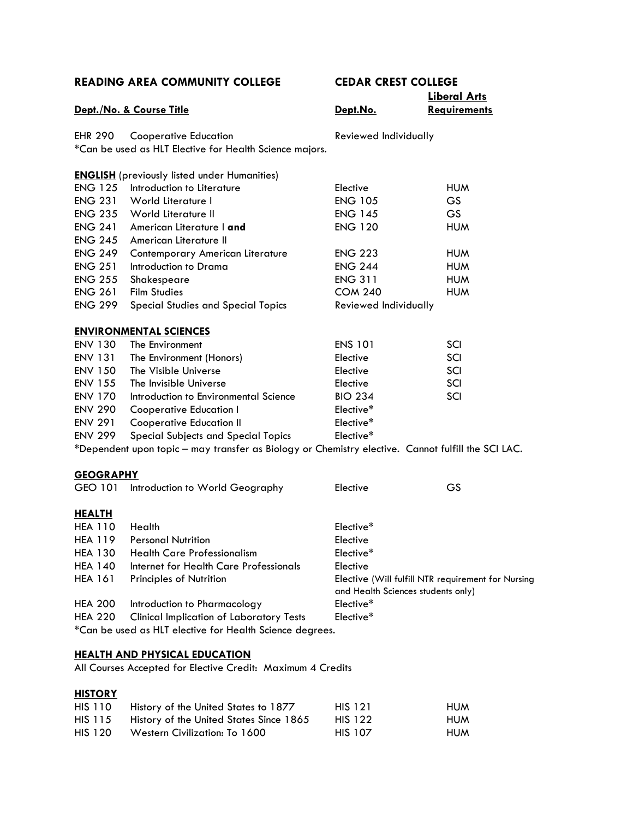**READING AREA COMMUNITY COLLEGE CEDAR CREST COLLEGE Liberal Arts Dept./No. & Course Title Requirements Dept.No. Requirements** EHR 290 Cooperative Education **Reviewed Individually** \*Can be used as HLT Elective for Health Science majors. **ENGLISH** (previously listed under Humanities) ENG 125 Introduction to Literature Elective Elective HUM ENG 231 World Literature I ENG 105 GS ENG 235 World Literature II ENG 145 GS ENG 241 American Literature I **and** ENG 120 HUM ENG 245 American Literature II ENG 249 Contemporary American Literature ENG 223 HUM ENG 251 Introduction to Drama ENG 244 HUM ENG 255 Shakespeare ENG 311 HUM ENG 261 Film Studies **COM 240** HUM ENG 299 Special Studies and Special Topics Reviewed Individually **ENVIRONMENTAL SCIENCES** ENV 130 The Environment ENS 101 SCI ENV 131 The Environment (Honors) Elective Elective SCI ENV 150 The Visible Universe The School and The Visible Universe SCI ENV 155 The Invisible Universe **Elective** Elective SCI ENV 170 Introduction to Environmental Science BIO 234 SCI ENV 290 Cooperative Education I Elective\* ENV 291 Cooperative Education II Cooperative Education II ENV 299 Special Subjects and Special Topics Elective\* \*Dependent upon topic – may transfer as Biology or Chemistry elective. Cannot fulfill the SCI LAC. **GEOGRAPHY** GEO 101 Introduction to World Geography Elective Elective GS **HEALTH** HEA 110 Health **Elective\*** HEA 119 Personal Nutrition **Elective** HEA 130 Health Care Professionalism Elective\* HEA 140 Internet for Health Care Professionals Elective HEA 161 Principles of Nutrition **Elective (Will fulfill NTR requirement for Nursing** and Health Sciences students only) HEA 200 Introduction to Pharmacology Elective\* HEA 220 Clinical Implication of Laboratory Tests Elective\* \*Can be used as HLT elective for Health Science degrees.

## **HEALTH AND PHYSICAL EDUCATION**

All Courses Accepted for Elective Credit: Maximum 4 Credits

## **HISTORY**

| HIS 110 | History of the United States to 1877    | <b>HIS 121</b> | <b>HUM</b> |
|---------|-----------------------------------------|----------------|------------|
| HIS 115 | History of the United States Since 1865 | <b>HIS 122</b> | <b>HUM</b> |
| HIS 120 | Western Civilization: To 1600           | <b>HIS 107</b> | <b>HUM</b> |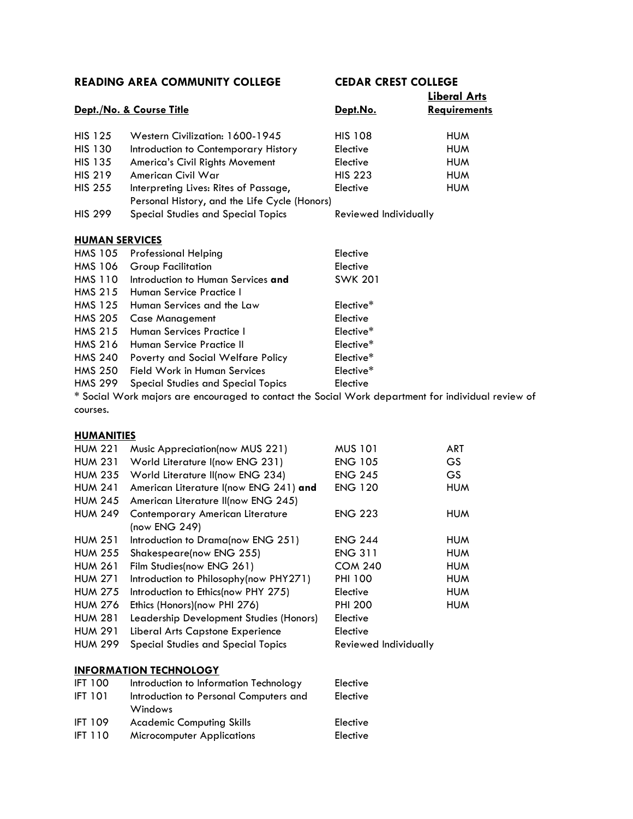|                       |                                                                                              |                       | <b>Liberal Arts</b> |
|-----------------------|----------------------------------------------------------------------------------------------|-----------------------|---------------------|
|                       | Dept./No. & Course Title                                                                     | Dept.No.              | <b>Requirements</b> |
| <b>HIS 125</b>        | Western Civilization: 1600-1945                                                              | <b>HIS 108</b>        | <b>HUM</b>          |
| <b>HIS 130</b>        | Introduction to Contemporary History                                                         | Elective              | <b>HUM</b>          |
| <b>HIS 135</b>        | America's Civil Rights Movement                                                              | Elective              | <b>HUM</b>          |
| <b>HIS 219</b>        | American Civil War                                                                           | <b>HIS 223</b>        | <b>HUM</b>          |
| <b>HIS 255</b>        | Interpreting Lives: Rites of Passage,                                                        | Elective              | <b>HUM</b>          |
|                       | Personal History, and the Life Cycle (Honors)                                                |                       |                     |
| <b>HIS 299</b>        | <b>Special Studies and Special Topics</b>                                                    | Reviewed Individually |                     |
| <b>HUMAN SERVICES</b> |                                                                                              |                       |                     |
| <b>HMS 105</b>        | <b>Professional Helping</b>                                                                  | Elective              |                     |
| <b>HMS 106</b>        | <b>Group Facilitation</b>                                                                    | Elective              |                     |
| <b>HMS 110</b>        | Introduction to Human Services and                                                           | <b>SWK 201</b>        |                     |
| <b>HMS 215</b>        | Human Service Practice I                                                                     |                       |                     |
| <b>HMS 125</b>        | Human Services and the Law                                                                   | Elective*             |                     |
| <b>HMS 205</b>        | <b>Case Management</b>                                                                       | Elective              |                     |
| <b>HMS 215</b>        | Human Services Practice L                                                                    | Elective*             |                     |
| <b>HMS 216</b>        | Human Service Practice II                                                                    | Elective*             |                     |
| <b>HMS 240</b>        | Poverty and Social Welfare Policy                                                            | Elective*             |                     |
| <b>HMS 250</b>        | <b>Field Work in Human Services</b>                                                          | Elective*             |                     |
| <b>HMS 299</b>        | <b>Special Studies and Special Topics</b>                                                    | Elective              |                     |
|                       | * Social Work majors are encouraged to contact the Social Work department for individual rev |                       |                     |

najors are encouraged to contact the Social Work department for individual review of courses.

## **HUMANITIES**

| <b>HUM 221</b>                | Music Appreciation(now MUS 221)           | <b>MUS 101</b>        | <b>ART</b> |
|-------------------------------|-------------------------------------------|-----------------------|------------|
| <b>HUM 231</b>                | World Literature I(now ENG 231)           | <b>ENG 105</b>        | GS.        |
| <b>HUM 235</b>                | World Literature II(now ENG 234)          | <b>ENG 245</b>        | GS.        |
| <b>HUM 241</b>                | American Literature I(now ENG 241) and    | <b>ENG 120</b>        | <b>HUM</b> |
| <b>HUM 245</b>                | American Literature II(now ENG 245)       |                       |            |
| <b>HUM 249</b>                | Contemporary American Literature          | <b>ENG 223</b>        | <b>HUM</b> |
|                               | (now ENG 249)                             |                       |            |
| <b>HUM 251</b>                | Introduction to Drama(now ENG 251)        | <b>ENG 244</b>        | <b>HUM</b> |
| <b>HUM 255</b>                | Shakespeare(now ENG 255)                  | <b>ENG 311</b>        | <b>HUM</b> |
| <b>HUM 261</b>                | Film Studies(now ENG 261)                 | <b>COM 240</b>        | <b>HUM</b> |
| <b>HUM 271</b>                | Introduction to Philosophy(now PHY271)    | <b>PHI 100</b>        | <b>HUM</b> |
| <b>HUM 275</b>                | Introduction to Ethics(now PHY 275)       | Elective              | <b>HUM</b> |
| <b>HUM 276</b>                | Ethics (Honors)(now PHI 276)              | <b>PHI 200</b>        | <b>HUM</b> |
| <b>HUM 281</b>                | Leadership Development Studies (Honors)   | Elective              |            |
| <b>HUM 291</b>                | Liberal Arts Capstone Experience          | Elective              |            |
| <b>HUM 299</b>                | <b>Special Studies and Special Topics</b> | Reviewed Individually |            |
|                               |                                           |                       |            |
| <b>INFORMATION TECHNOLOGY</b> |                                           |                       |            |

| <b>IFT 100</b> | Introduction to Information Technology | Elective |
|----------------|----------------------------------------|----------|
| <b>IFT 101</b> | Introduction to Personal Computers and | Elective |
|                | Windows                                |          |
| <b>IFT 109</b> | <b>Academic Computing Skills</b>       | Elective |
| <b>IFT 110</b> | <b>Microcomputer Applications</b>      | Elective |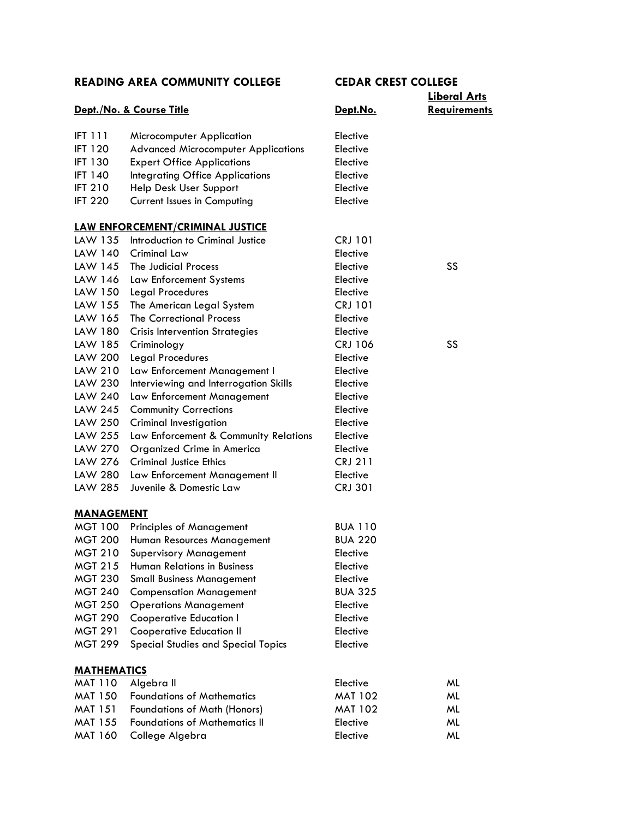|                    |                                            |                 | <b>Liberal Arts</b> |
|--------------------|--------------------------------------------|-----------------|---------------------|
|                    | Dept./No. & Course Title                   | <u>Dept.No.</u> | <b>Requirements</b> |
| <b>IFT 111</b>     | Microcomputer Application                  | Elective        |                     |
| <b>IFT 120</b>     | <b>Advanced Microcomputer Applications</b> | Elective        |                     |
| <b>IFT 130</b>     | <b>Expert Office Applications</b>          | Elective        |                     |
| <b>IFT 140</b>     | <b>Integrating Office Applications</b>     | Elective        |                     |
| <b>IFT 210</b>     | Help Desk User Support                     | Elective        |                     |
| <b>IFT 220</b>     | <b>Current Issues in Computing</b>         | Elective        |                     |
|                    | LAW ENFORCEMENT/CRIMINAL JUSTICE           |                 |                     |
| LAW 135            | Introduction to Criminal Justice           | <b>CRJ 101</b>  |                     |
| LAW 140            | <b>Criminal Law</b>                        | Elective        |                     |
| LAW 145            | The Judicial Process                       | Elective        | SS                  |
| LAW 146            | Law Enforcement Systems                    | Elective        |                     |
| LAW 150            | Legal Procedures                           | Elective        |                     |
| LAW 155            | The American Legal System                  | <b>CRJ 101</b>  |                     |
| LAW 165            | <b>The Correctional Process</b>            | Elective        |                     |
| LAW 180            | <b>Crisis Intervention Strategies</b>      | Elective        |                     |
| LAW 185            | Criminology                                | <b>CRJ 106</b>  | SS                  |
| LAW 200            | <b>Legal Procedures</b>                    | Elective        |                     |
| LAW 210            | Law Enforcement Management I               | Elective        |                     |
| LAW 230            | Interviewing and Interrogation Skills      | Elective        |                     |
| LAW 240            | Law Enforcement Management                 | Elective        |                     |
| LAW 245            | <b>Community Corrections</b>               | Elective        |                     |
| LAW 250            | Criminal Investigation                     | Elective        |                     |
| LAW 255            | Law Enforcement & Community Relations      | Elective        |                     |
| LAW 270            | Organized Crime in America                 | Elective        |                     |
| LAW 276            | <b>Criminal Justice Ethics</b>             | <b>CRJ 211</b>  |                     |
| LAW 280            | Law Enforcement Management II              | Elective        |                     |
| LAW 285            | Juvenile & Domestic Law                    | <b>CRJ 301</b>  |                     |
| <u>MANAGEMENT</u>  |                                            |                 |                     |
| MGT 100            | <b>Principles of Management</b>            | <b>BUA 110</b>  |                     |
| <b>MGT 200</b>     | Human Resources Management                 | <b>BUA 220</b>  |                     |
| MGT 210            | <b>Supervisory Management</b>              | Elective        |                     |
| <b>MGT 215</b>     | <b>Human Relations in Business</b>         | Elective        |                     |
| <b>MGT 230</b>     | <b>Small Business Management</b>           | Elective        |                     |
| <b>MGT 240</b>     | <b>Compensation Management</b>             | <b>BUA 325</b>  |                     |
| <b>MGT 250</b>     | <b>Operations Management</b>               | Elective        |                     |
| <b>MGT 290</b>     | <b>Cooperative Education I</b>             | Elective        |                     |
| <b>MGT 291</b>     | <b>Cooperative Education II</b>            | Elective        |                     |
| <b>MGT 299</b>     | <b>Special Studies and Special Topics</b>  | Elective        |                     |
| <b>MATHEMATICS</b> |                                            |                 |                     |
| <b>MAT 110</b>     | Algebra II                                 | Elective        | ML                  |
| <b>MAT 150</b>     | <b>Foundations of Mathematics</b>          | <b>MAT 102</b>  | ML                  |
| <b>MAT 151</b>     | Foundations of Math (Honors)               | <b>MAT 102</b>  | ML                  |
| <b>MAT 155</b>     | <b>Foundations of Mathematics II</b>       | Elective        | ML                  |
| <b>MAT 160</b>     | College Algebra                            | Elective        | ML                  |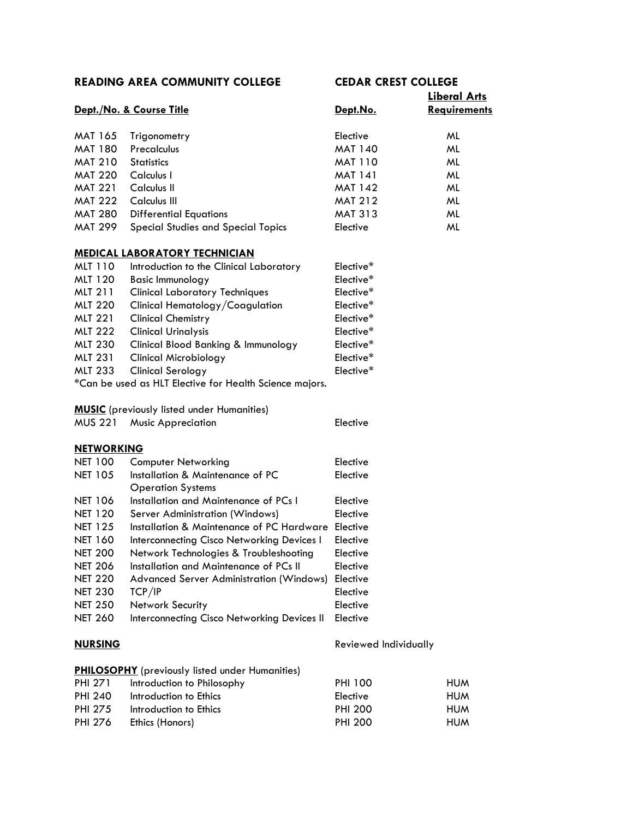# **Liberal Arts**

| Dept./No. & Course Title |                                           | <u>Dept.No.</u> | Liberal Arts<br><b>Requirements</b> |  |
|--------------------------|-------------------------------------------|-----------------|-------------------------------------|--|
| MAT 165                  | Trigonometry                              | Elective        | ML                                  |  |
| <b>MAT 180</b>           | Precalculus                               | MAT 140         | ML                                  |  |
| <b>MAT 210</b>           | <b>Statistics</b>                         | MAT 110         | ML                                  |  |
| <b>MAT 220</b>           | Calculus I                                | <b>MAT 141</b>  | ML                                  |  |
| <b>MAT 221</b>           | Calculus II                               | <b>MAT 142</b>  | ML                                  |  |
| <b>MAT 222</b>           | Calculus III                              | <b>MAT 212</b>  | ML                                  |  |
| <b>MAT 280</b>           | <b>Differential Equations</b>             | <b>MAT 313</b>  | ML                                  |  |
| <b>MAT 299</b>           | <b>Special Studies and Special Topics</b> | Elective        | ML                                  |  |

## **MEDICAL LABORATORY TECHNICIAN**

| MLT 110        | Introduction to the Clinical Laboratory                            | Elective* |
|----------------|--------------------------------------------------------------------|-----------|
| MLT 120        | <b>Basic Immunology</b>                                            | Elective* |
| <b>MLT 211</b> | <b>Clinical Laboratory Techniques</b>                              | Elective* |
| <b>MLT 220</b> | Clinical Hematology/Coagulation                                    | Elective* |
| <b>MLT 221</b> | <b>Clinical Chemistry</b>                                          | Elective* |
| <b>MLT 222</b> | <b>Clinical Urinalysis</b>                                         | Elective* |
| <b>MLT 230</b> | Clinical Blood Banking & Immunology                                | Elective* |
| <b>MLT 231</b> | <b>Clinical Microbiology</b>                                       | Elective* |
| <b>MLT 233</b> | <b>Clinical Serology</b>                                           | Elective* |
|                | $C_{\rm max}$ be used as HIT Fleature from Health Catagory marting |           |

\*Can be used as HLT Elective for Health Science majors.

## **MUSIC** (previously listed under Humanities)

| <b>MUS 221</b> | <b>Music Appreciation</b> |  |
|----------------|---------------------------|--|
|----------------|---------------------------|--|

## **NETWORKING**

| <b>Computer Networking</b>                  | Elective |
|---------------------------------------------|----------|
| Installation & Maintenance of PC            | Elective |
| <b>Operation Systems</b>                    |          |
| Installation and Maintenance of PCs I       | Elective |
| Server Administration (Windows)             | Elective |
| Installation & Maintenance of PC Hardware   | Elective |
| Interconnecting Cisco Networking Devices I  | Elective |
| Network Technologies & Troubleshooting      | Elective |
| Installation and Maintenance of PCs II      | Elective |
| Advanced Server Administration (Windows)    | Elective |
| TCP/IP                                      | Elective |
| <b>Network Security</b>                     | Elective |
| Interconnecting Cisco Networking Devices II | Elective |
|                                             |          |

**NURSING** Reviewed Individually

**Elective** 

| <b>PHILOSOPHY</b> (previously listed under Humanities) |  |  |
|--------------------------------------------------------|--|--|
|                                                        |  |  |

| PHI 271 | Introduction to Philosophy | <b>PHI 100</b> | <b>HUM</b> |
|---------|----------------------------|----------------|------------|
| PHI 240 | Introduction to Ethics     | Elective       | <b>HUM</b> |
| PHI 275 | Introduction to Ethics     | <b>PHI 200</b> | <b>HUM</b> |
| PHI 276 | Ethics (Honors)            | PHI 200        | <b>HUM</b> |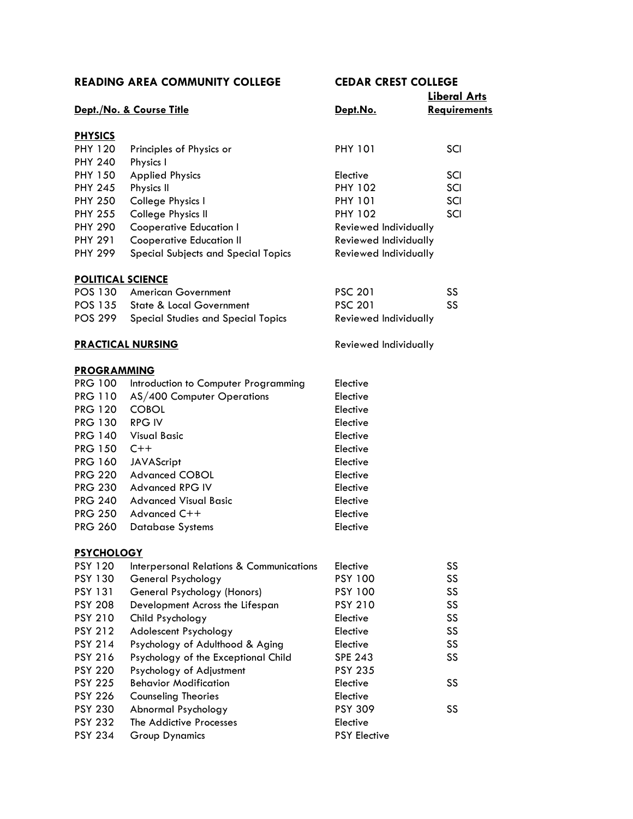|                          | Dept./No. & Course Title                            | Dept.No.              | <b>Liberal Arts</b><br>Requirements |
|--------------------------|-----------------------------------------------------|-----------------------|-------------------------------------|
|                          |                                                     |                       |                                     |
| <b>PHYSICS</b>           |                                                     |                       |                                     |
| <b>PHY 120</b>           | Principles of Physics or                            | <b>PHY 101</b>        | SCI                                 |
| <b>PHY 240</b>           | Physics I                                           |                       |                                     |
| <b>PHY 150</b>           | <b>Applied Physics</b>                              | Elective              | SCI                                 |
| <b>PHY 245</b>           | Physics II                                          | <b>PHY 102</b>        | SCI                                 |
| <b>PHY 250</b>           | College Physics I                                   | <b>PHY 101</b>        | SCI                                 |
| <b>PHY 255</b>           | College Physics II                                  | <b>PHY 102</b>        | SCI                                 |
| <b>PHY 290</b>           | <b>Cooperative Education I</b>                      | Reviewed Individually |                                     |
| <b>PHY 291</b>           | <b>Cooperative Education II</b>                     | Reviewed Individually |                                     |
| <b>PHY 299</b>           | Special Subjects and Special Topics                 | Reviewed Individually |                                     |
| <b>POLITICAL SCIENCE</b> |                                                     |                       |                                     |
| POS 130                  | <b>American Government</b>                          | <b>PSC 201</b>        | SS                                  |
| <b>POS 135</b>           | <b>State &amp; Local Government</b>                 | <b>PSC 201</b>        | SS                                  |
| <b>POS 299</b>           | Special Studies and Special Topics                  | Reviewed Individually |                                     |
|                          | <b>PRACTICAL NURSING</b>                            | Reviewed Individually |                                     |
| <b>PROGRAMMING</b>       |                                                     |                       |                                     |
| PRG 100                  | Introduction to Computer Programming                | Elective              |                                     |
| PRG 110                  | AS/400 Computer Operations                          | Elective              |                                     |
| <b>PRG 120</b>           | <b>COBOL</b>                                        | Elective              |                                     |
| <b>PRG 130</b>           | <b>RPG IV</b>                                       | Elective              |                                     |
| <b>PRG 140</b>           | <b>Visual Basic</b>                                 | Elective              |                                     |
| <b>PRG 150</b>           | $C++$                                               | Elective              |                                     |
| <b>PRG 160</b>           | <b>JAVAScript</b>                                   | Elective              |                                     |
| <b>PRG 220</b>           | <b>Advanced COBOL</b>                               | Elective              |                                     |
| <b>PRG 230</b>           | <b>Advanced RPG IV</b>                              | Elective              |                                     |
| <b>PRG 240</b>           | <b>Advanced Visual Basic</b>                        | Elective              |                                     |
| <b>PRG 250</b>           | Advanced C++                                        | Elective              |                                     |
| <b>PRG 260</b>           | <b>Database Systems</b>                             | Elective              |                                     |
|                          |                                                     |                       |                                     |
| <b>PSYCHOLOGY</b>        |                                                     |                       |                                     |
| <b>PSY 120</b>           | <b>Interpersonal Relations &amp; Communications</b> | Elective              | SS                                  |
| <b>PSY 130</b>           | General Psychology                                  | <b>PSY 100</b>        | SS                                  |
| <b>PSY 131</b>           | General Psychology (Honors)                         | <b>PSY 100</b>        | SS                                  |
| <b>PSY 208</b>           | Development Across the Lifespan                     | <b>PSY 210</b>        | SS                                  |
| <b>PSY 210</b>           | Child Psychology                                    | Elective              | SS                                  |
| <b>PSY 212</b>           | Adolescent Psychology                               | Elective              | SS                                  |
| PSY 214                  | Psychology of Adulthood & Aging                     | Elective              | SS                                  |
| <b>PSY 216</b>           | Psychology of the Exceptional Child                 | <b>SPE 243</b>        | SS                                  |
| <b>PSY 220</b>           | Psychology of Adjustment                            | <b>PSY 235</b>        |                                     |
| <b>PSY 225</b>           | <b>Behavior Modification</b>                        | Elective              | SS                                  |
| <b>PSY 226</b>           | <b>Counseling Theories</b>                          | Elective              |                                     |
| <b>PSY 230</b>           | Abnormal Psychology                                 | <b>PSY 309</b>        | SS                                  |
| <b>PSY 232</b>           | The Addictive Processes                             | Elective              |                                     |
| <b>PSY 234</b>           | <b>Group Dynamics</b>                               | <b>PSY Elective</b>   |                                     |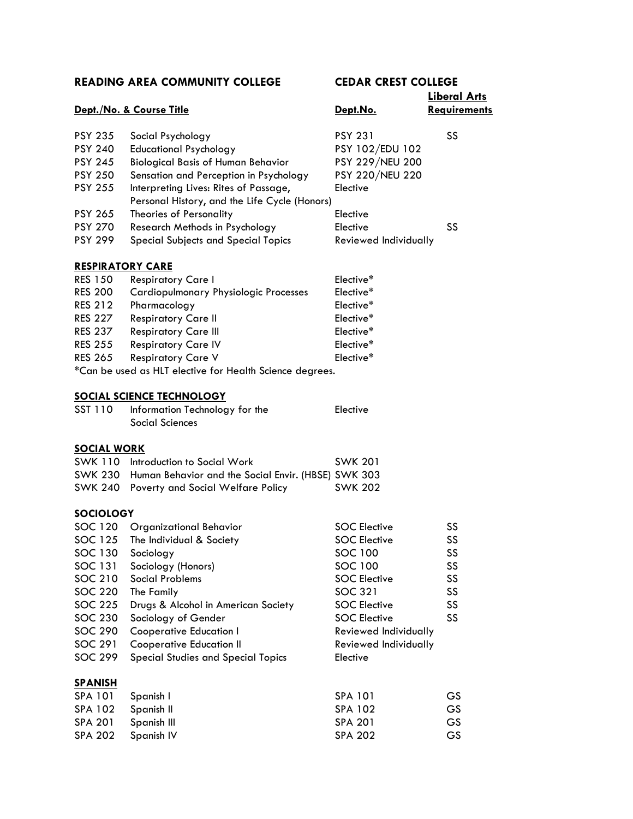|                         |                                                          |                       | <b>Liberal Arts</b> |
|-------------------------|----------------------------------------------------------|-----------------------|---------------------|
|                         | Dept./No. & Course Title                                 | <u>Dept.No.</u>       | Requirements        |
| <b>PSY 235</b>          | Social Psychology                                        | <b>PSY 231</b>        | SS                  |
| <b>PSY 240</b>          | <b>Educational Psychology</b>                            | PSY 102/EDU 102       |                     |
| <b>PSY 245</b>          | <b>Biological Basis of Human Behavior</b>                | PSY 229/NEU 200       |                     |
| <b>PSY 250</b>          | Sensation and Perception in Psychology                   | PSY 220/NEU 220       |                     |
| <b>PSY 255</b>          | Interpreting Lives: Rites of Passage,                    | Elective              |                     |
|                         | Personal History, and the Life Cycle (Honors)            |                       |                     |
| <b>PSY 265</b>          | Theories of Personality                                  | Elective              |                     |
| <b>PSY 270</b>          | Research Methods in Psychology                           | Elective              | SS                  |
| <b>PSY 299</b>          | Special Subjects and Special Topics                      | Reviewed Individually |                     |
|                         |                                                          |                       |                     |
| <b>RESPIRATORY CARE</b> |                                                          |                       |                     |
| <b>RES 150</b>          | <b>Respiratory Care I</b>                                | Elective*             |                     |
| <b>RES 200</b>          | <b>Cardiopulmonary Physiologic Processes</b>             | Elective*             |                     |
| <b>RES 212</b>          | Pharmacology                                             | Elective*             |                     |
| <b>RES 227</b>          | <b>Respiratory Care II</b>                               | Elective*             |                     |
| <b>RES 237</b>          | <b>Respiratory Care III</b>                              | Elective*             |                     |
| <b>RES 255</b>          | <b>Respiratory Care IV</b>                               | Elective*             |                     |
| <b>RES 265</b>          | <b>Respiratory Care V</b>                                | Elective*             |                     |
|                         | *Can be used as HLT elective for Health Science degrees. |                       |                     |
|                         | <b>SOCIAL SCIENCE TECHNOLOGY</b>                         |                       |                     |
| SST 110                 | Information Technology for the                           | Elective              |                     |
|                         | Social Sciences                                          |                       |                     |
| <b>SOCIAL WORK</b>      |                                                          |                       |                     |
|                         | SWK 110 Introduction to Social Work                      | <b>SWK 201</b>        |                     |
| <b>SWK 230</b>          | Human Behavior and the Social Envir. (HBSE) SWK 303      |                       |                     |
| <b>SWK 240</b>          | Poverty and Social Welfare Policy                        | <b>SWK 202</b>        |                     |
|                         |                                                          |                       |                     |
| <b>SOCIOLOGY</b>        |                                                          |                       |                     |
| SOC 120                 | <b>Organizational Behavior</b>                           | <b>SOC Elective</b>   | SS                  |
| SOC 125                 | The Individual & Society                                 | <b>SOC Elective</b>   | SS                  |
| SOC 130                 | Sociology                                                | SOC 100               | SS                  |
| SOC 131                 | Sociology (Honors)                                       | SOC 100               | SS                  |
| SOC 210                 | <b>Social Problems</b>                                   | <b>SOC Elective</b>   | SS                  |
| <b>SOC 220</b>          | The Family                                               | <b>SOC 321</b>        | SS                  |
| <b>SOC 225</b>          | Drugs & Alcohol in American Society                      | <b>SOC Elective</b>   | SS                  |
| <b>SOC 230</b>          | Sociology of Gender                                      | <b>SOC Elective</b>   | SS                  |
| <b>SOC 290</b>          | <b>Cooperative Education I</b>                           | Reviewed Individually |                     |
| SOC 291                 | <b>Cooperative Education II</b>                          | Reviewed Individually |                     |
| <b>SOC 299</b>          | Special Studies and Special Topics                       | Elective              |                     |
| <u>SPANISH</u>          |                                                          |                       |                     |
| SPA 101                 | Spanish I                                                | SPA 101               | GS                  |
| SPA 102                 | Spanish II                                               | SPA 102               | GS                  |
| <b>SPA 201</b>          | Spanish III                                              | <b>SPA 201</b>        | GS                  |
| <b>SPA 202</b>          | Spanish IV                                               | <b>SPA 202</b>        | <b>GS</b>           |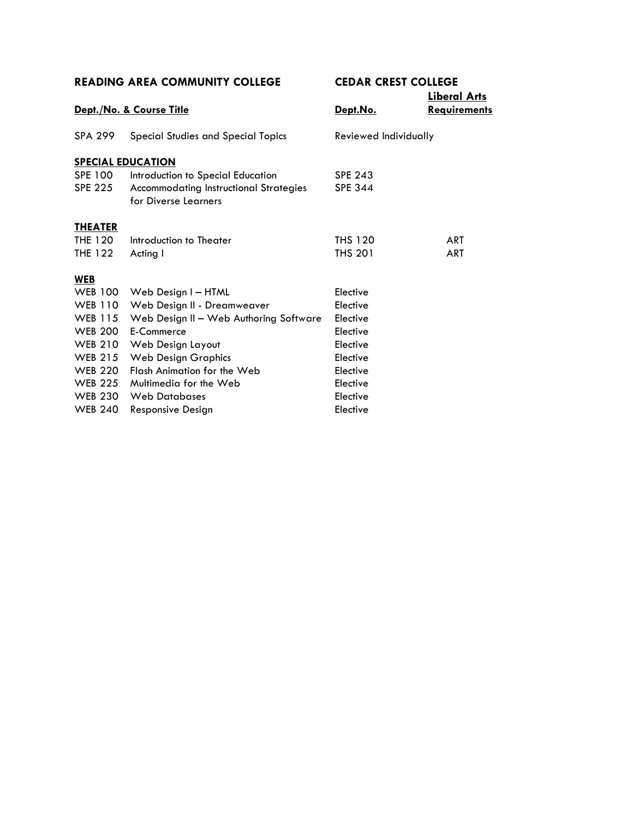|                |                                               |                       | <b>Liberal Arts</b> |
|----------------|-----------------------------------------------|-----------------------|---------------------|
|                | Dept./No. & Course Title                      | Dept.No.              | <b>Requirements</b> |
| <b>SPA 299</b> | <b>Special Studies and Special Topics</b>     | Reviewed Individually |                     |
|                | <b>SPECIAL EDUCATION</b>                      |                       |                     |
| SPE 100        | Introduction to Special Education             | <b>SPE 243</b>        |                     |
| <b>SPE 225</b> | <b>Accommodating Instructional Strategies</b> | <b>SPE 344</b>        |                     |
|                | for Diverse Learners                          |                       |                     |
| <b>THEATER</b> |                                               |                       |                     |
| THE 120        | Introduction to Theater                       | <b>THS 120</b>        | <b>ART</b>          |
| <b>THE 122</b> | Acting I                                      | <b>THS 201</b>        | <b>ART</b>          |
|                |                                               |                       |                     |
| <b>WEB</b>     |                                               |                       |                     |
| <b>WEB 100</b> | Web Design I - HTML                           | Elective              |                     |
| <b>WEB 110</b> | Web Design II - Dreamweaver                   | Elective              |                     |
| WEB 115        | Web Design II - Web Authoring Software        | Elective              |                     |
| <b>WEB 200</b> | E-Commerce                                    | Elective              |                     |
| <b>WEB 210</b> | Web Design Layout                             | Elective              |                     |
| <b>WEB 215</b> | <b>Web Design Graphics</b>                    | Elective              |                     |
| <b>WEB 220</b> | Flash Animation for the Web                   | Elective              |                     |
| <b>WEB 225</b> | Multimedia for the Web                        | Elective              |                     |
| <b>WEB 230</b> | <b>Web Databases</b>                          | Elective              |                     |
| <b>WEB 240</b> | Responsive Design                             | Elective              |                     |